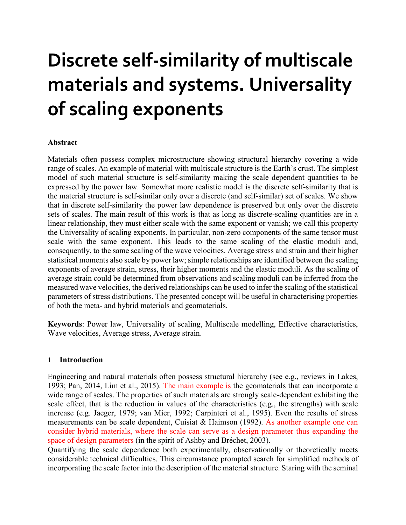# **Discrete self-similarity of multiscale materials and systems. Universality of scaling exponents**

# **Abstract**

Materials often possess complex microstructure showing structural hierarchy covering a wide range of scales. An example of material with multiscale structure is the Earth's crust. The simplest model of such material structure is self-similarity making the scale dependent quantities to be expressed by the power law. Somewhat more realistic model is the discrete self-similarity that is the material structure is self-similar only over a discrete (and self-similar) set of scales. We show that in discrete self-similarity the power law dependence is preserved but only over the discrete sets of scales. The main result of this work is that as long as discrete-scaling quantities are in a linear relationship, they must either scale with the same exponent or vanish; we call this property the Universality of scaling exponents. In particular, non-zero components of the same tensor must scale with the same exponent. This leads to the same scaling of the elastic moduli and, consequently, to the same scaling of the wave velocities. Average stress and strain and their higher statistical moments also scale by power law; simple relationships are identified between the scaling exponents of average strain, stress, their higher moments and the elastic moduli. As the scaling of average strain could be determined from observations and scaling moduli can be inferred from the measured wave velocities, the derived relationships can be used to infer the scaling of the statistical parameters of stress distributions. The presented concept will be useful in characterising properties of both the meta- and hybrid materials and geomaterials.

**Keywords**: Power law, Universality of scaling, Multiscale modelling, Effective characteristics, Wave velocities, Average stress, Average strain.

# **1 Introduction**

Engineering and natural materials often possess structural hierarchy (see e.g., reviews in Lakes, 1993; Pan, 2014, Lim et al., 2015). The main example is the geomaterials that can incorporate a wide range of scales. The properties of such materials are strongly scale-dependent exhibiting the scale effect, that is the reduction in values of the characteristics (e.g., the strengths) with scale increase (e.g. Jaeger, 1979; van Mier, 1992; Carpinteri et al., 1995). Even the results of stress measurements can be scale dependent, Cuisiat & Haimson (1992). As another example one can consider hybrid materials, where the scale can serve as a design parameter thus expanding the space of design parameters (in the spirit of Ashby and Bréchet, 2003).

Quantifying the scale dependence both experimentally, observationally or theoretically meets considerable technical difficulties. This circumstance prompted search for simplified methods of incorporating the scale factor into the description of the material structure. Staring with the seminal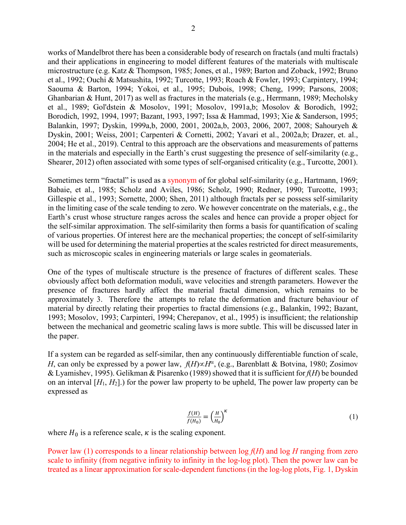works of Mandelbrot there has been a considerable body of research on fractals (and multi fractals) and their applications in engineering to model different features of the materials with multiscale microstructure (e.g. Katz & Thompson, 1985; Jones, et al., 1989; Barton and Zoback, 1992; Bruno et al., 1992; Ouchi & Matsushita, 1992; Turcotte, 1993; Roach & Fowler, 1993; Carpintery, 1994; Saouma & Barton, 1994; Yokoi, et al., 1995; Dubois, 1998; Cheng, 1999; Parsons, 2008; Ghanbarian & Hunt, 2017) as well as fractures in the materials (e.g., Herrmann, 1989; Mecholsky et al., 1989; Gol'dstein & Mosolov, 1991; Mosolov, 1991a,b; Mosolov & Borodich, 1992; Borodich, 1992, 1994, 1997; Bazant, 1993, 1997; Issa & Hammad, 1993; Xie & Sanderson, 1995; Balankin, 1997; Dyskin, 1999a,b, 2000, 2001, 2002a,b, 2003, 2006, 2007, 2008; Sahouryeh & Dyskin, 2001; Weiss, 2001; Carpenteri & Cornetti, 2002; Yavari et al., 2002a,b; Drazer, et. al., 2004; He et al., 2019). Central to this approach are the observations and measurements of patterns in the materials and especially in the Earth's crust suggesting the presence of self-similarity (e.g., Shearer, 2012) often associated with some types of self-organised criticality (e.g., Turcotte, 2001).

Sometimes term "fractal" is used as a synonym of for global self-similarity (e.g., Hartmann, 1969; Babaie, et al., 1985; Scholz and Aviles, 1986; Scholz, 1990; Redner, 1990; Turcotte, 1993; Gillespie et al., 1993; Sornette, 2000; Shen, 2011) although fractals per se possess self-similarity in the limiting case of the scale tending to zero. We however concentrate on the materials, e.g., the Earth's crust whose structure ranges across the scales and hence can provide a proper object for the self-similar approximation. The self-similarity then forms a basis for quantification of scaling of various properties. Of interest here are the mechanical properties; the concept of self-similarity will be used for determining the material properties at the scales restricted for direct measurements, such as microscopic scales in engineering materials or large scales in geomaterials.

One of the types of multiscale structure is the presence of fractures of different scales. These obviously affect both deformation moduli, wave velocities and strength parameters. However the presence of fractures hardly affect the material fractal dimension, which remains to be approximately 3. Therefore the attempts to relate the deformation and fracture behaviour of material by directly relating their properties to fractal dimensions (e.g., Balankin, 1992; Bazant, 1993; Mosolov, 1993; Carpinteri, 1994; Cherepanov, et al., 1995) is insufficient; the relationship between the mechanical and geometric scaling laws is more subtle. This will be discussed later in the paper.

If a system can be regarded as self-similar, then any continuously differentiable function of scale, *H*, can only be expressed by a power law, *f*(*H*)∝*H*<sup>α</sup>, (e.g., Barenblatt & Botvina, 1980; Zosimov & Lyamishev, 1995). Gelikman & Pisarenko (1989) showed that it is sufficient for  $f(H)$  be bounded on an interval  $[H_1, H_2]$ .) for the power law property to be upheld, The power law property can be expressed as

$$
\frac{f(H)}{f(H_0)} = \left(\frac{H}{H_0}\right)^K\tag{1}
$$

where  $H_0$  is a reference scale,  $\kappa$  is the scaling exponent.

Power law (1) corresponds to a linear relationship between log *f*(*H*) and log *H* ranging from zero scale to infinity (from negative infinity to infinity in the log-log plot). Then the power law can be treated as a linear approximation for scale-dependent functions (in the log-log plots, Fig. 1, Dyskin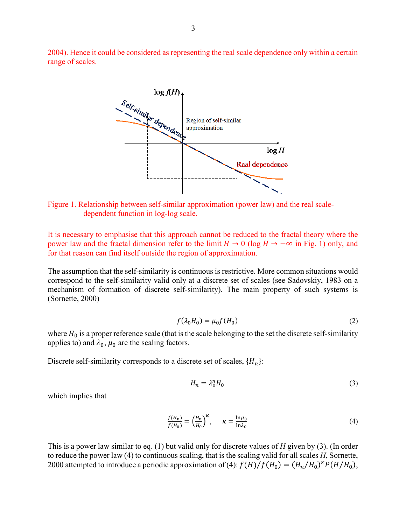2004). Hence it could be considered as representing the real scale dependence only within a certain range of scales.



Figure 1. Relationship between self-similar approximation (power law) and the real scaledependent function in log-log scale.

It is necessary to emphasise that this approach cannot be reduced to the fractal theory where the power law and the fractal dimension refer to the limit  $H \to 0$  (log  $H \to -\infty$  in Fig. 1) only, and for that reason can find itself outside the region of approximation.

The assumption that the self-similarity is continuous is restrictive. More common situations would correspond to the self-similarity valid only at a discrete set of scales (see Sadovskiy, 1983 on a mechanism of formation of discrete self-similarity). The main property of such systems is (Sornette, 2000)

$$
f(\lambda_0 H_0) = \mu_0 f(H_0)
$$
 (2)

where  $H_0$  is a proper reference scale (that is the scale belonging to the set the discrete self-similarity applies to) and  $\lambda_0$ ,  $\mu_0$  are the scaling factors.

Discrete self-similarity corresponds to a discrete set of scales,  $\{H_n\}$ :

$$
H_n = \lambda_0^n H_0 \tag{3}
$$

which implies that

$$
\frac{f(H_n)}{f(H_0)} = \left(\frac{H_n}{H_0}\right)^{\kappa}, \qquad \kappa = \frac{\ln \mu_0}{\ln \lambda_0} \tag{4}
$$

This is a power law similar to eq. (1) but valid only for discrete values of *H* given by (3). (In order to reduce the power law (4) to continuous scaling, that is the scaling valid for all scales *H*, Sornette, 2000 attempted to introduce a periodic approximation of (4):  $f(H)/f(H_0) = (H_n/H_0)^k P(H/H_0)$ ,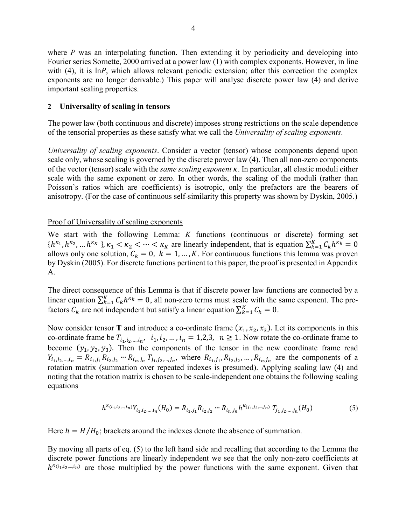where *P* was an interpolating function. Then extending it by periodicity and developing into Fourier series Sornette, 2000 arrived at a power law (1) with complex exponents. However, in line with (4), it is lnP, which allows relevant periodic extension; after this correction the complex exponents are no longer derivable.) This paper will analyse discrete power law (4) and derive important scaling properties.

# **2 Universality of scaling in tensors**

The power law (both continuous and discrete) imposes strong restrictions on the scale dependence of the tensorial properties as these satisfy what we call the *Universality of scaling exponents*.

*Universality of scaling exponents*. Consider a vector (tensor) whose components depend upon scale only, whose scaling is governed by the discrete power law (4). Then all non-zero components of the vector (tensor) scale with the *same scaling exponent* . In particular, all elastic moduli either scale with the same exponent or zero. In other words, the scaling of the moduli (rather than Poisson's ratios which are coefficients) is isotropic, only the prefactors are the bearers of anisotropy. (For the case of continuous self-similarity this property was shown by Dyskin, 2005.)

# Proof of Universality of scaling exponents

We start with the following Lemma: *K* functions (continuous or discrete) forming set  $\{h^{\kappa_1}, h^{\kappa_2}, ..., h^{\kappa_K}\}, \kappa_1 < \kappa_2 < \cdots < \kappa_K$  are linearly independent, that is equation  $\sum_{k=1}^K C_k h^{\kappa_k} = 0$ allows only one solution,  $C_k = 0$ ,  $k = 1, ..., K$ . For continuous functions this lemma was proven by Dyskin (2005). For discrete functions pertinent to this paper, the proof is presented in Appendix A.

The direct consequence of this Lemma is that if discrete power law functions are connected by a linear equation  $\sum_{k=1}^{K} C_k h^{\kappa_k} = 0$ , all non-zero terms must scale with the same exponent. The prefactors  $C_k$  are not independent but satisfy a linear equation  $\sum_{k=1}^{K} C_k = 0$ .

Now consider tensor **T** and introduce a co-ordinate frame  $(x_1, x_2, x_3)$ . Let its components in this co-ordinate frame be  $T_{i_1,i_2,...,i_n}$ ,  $i_1, i_2, ..., i_n = 1,2,3, n \ge 1$ . Now rotate the co-ordinate frame to become  $(y_1, y_2, y_3)$ . Then the components of the tensor in the new coordinate frame read  $Y_{i_1,i_2,...,i_n} = R_{i_1,j_1} R_{i_2,j_2} \cdots R_{i_n,j_n} T_{j_1,j_2,...,j_n}$ , where  $R_{i_1,j_1}, R_{i_2,j_2},..., R_{i_n,j_n}$  are the components of a rotation matrix (summation over repeated indexes is presumed). Applying scaling law (4) and noting that the rotation matrix is chosen to be scale-independent one obtains the following scaling equations

$$
h^{\kappa_{(i_1,i_2,\dots,i_n)}} Y_{i_1,i_2,\dots,i_n}(H_0) = R_{i_1,j_1} R_{i_2,j_2} \cdots R_{i_n,j_n} h^{\kappa_{(j_1,j_2,\dots,j_n)}} T_{j_1,j_2,\dots,j_n}(H_0)
$$
(5)

Here  $h = H/H_0$ ; brackets around the indexes denote the absence of summation.

By moving all parts of eq. (5) to the left hand side and recalling that according to the Lemma the discrete power functions are linearly independent we see that the only non-zero coefficients at  $h^{k(i_1,i_2,...,i_n)}$  are those multiplied by the power functions with the same exponent. Given that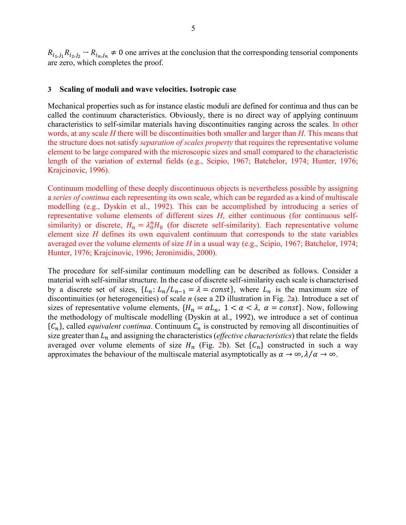$R_{i_1,j_1}R_{i_2,j_2}$   $\cdots R_{i_n,j_n} \neq 0$  one arrives at the conclusion that the corresponding tensorial components are zero, which completes the proof.

## **3 Scaling of moduli and wave velocities. Isotropic case**

Mechanical properties such as for instance elastic moduli are defined for continua and thus can be called the continuum characteristics. Obviously, there is no direct way of applying continuum characteristics to self-similar materials having discontinuities ranging across the scales. In other words, at any scale *H* there will be discontinuities both smaller and larger than *H*. This means that the structure does not satisfy *separation of scales property* that requires the representative volume element to be large compared with the microscopic sizes and small compared to the characteristic length of the variation of external fields (e.g., Scipio, 1967; Batchelor, 1974; Hunter, 1976; Krajcinovic, 1996).

Continuum modelling of these deeply discontinuous objects is nevertheless possible by assigning a *series of continua* each representing its own scale, which can be regarded as a kind of multiscale modelling (e.g., Dyskin et al., 1992). This can be accomplished by introducing a series of representative volume elements of different sizes *H*, either continuous (for continuous selfsimilarity) or discrete,  $H_n = \lambda_0^n H_0$  (for discrete self-similarity). Each representative volume element size *H* defines its own equivalent continuum that corresponds to the state variables averaged over the volume elements of size *H* in a usual way (e.g., Scipio, 1967; Batchelor, 1974; Hunter, 1976; Krajcinovic, 1996; Jeronimidis, 2000).

The procedure for self-similar continuum modelling can be described as follows. Consider a material with self-similar structure. In the case of discrete self-similarity each scale is characterised by a discrete set of sizes,  $\{L_n: L_n/L_{n-1} = \lambda = const\}$ , where  $L_n$  is the maximum size of discontinuities (or heterogeneities) of scale *n* (see a 2D illustration in Fig. 2a). Introduce a set of sizes of representative volume elements,  $\{H_n = \alpha L_n, 1 < \alpha < \lambda, \alpha = const\}$ . Now, following the methodology of multiscale modelling (Dyskin at al., 1992), we introduce a set of continua  ${C_n}$ , called *equivalent continua*. Continuum  $C_n$  is constructed by removing all discontinuities of size greater than  $L_n$  and assigning the characteristics (*effective characteristics*) that relate the fields averaged over volume elements of size  $H_n$  (Fig. 2b). Set  $\{C_n\}$  constructed in such a way approximates the behaviour of the multiscale material asymptotically as  $\alpha \to \infty$ ,  $\lambda/\alpha \to \infty$ .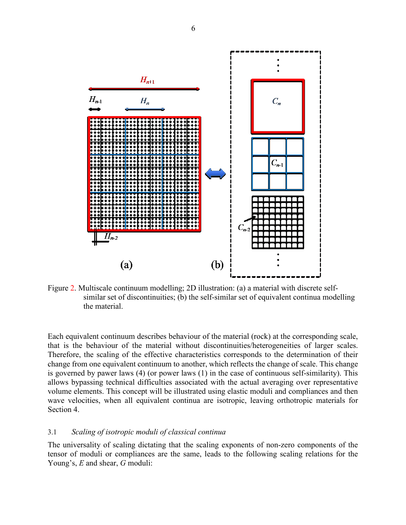

Figure 2. Multiscale continuum modelling; 2D illustration: (a) a material with discrete selfsimilar set of discontinuities; (b) the self-similar set of equivalent continua modelling the material.

Each equivalent continuum describes behaviour of the material (rock) at the corresponding scale, that is the behaviour of the material without discontinuities/heterogeneities of larger scales. Therefore, the scaling of the effective characteristics corresponds to the determination of their change from one equivalent continuum to another, which reflects the change of scale. This change is governed by pawer laws (4) (or power laws (1) in the case of continuous self-similarity). This allows bypassing technical difficulties associated with the actual averaging over representative volume elements. This concept will be illustrated using elastic moduli and compliances and then wave velocities, when all equivalent continua are isotropic, leaving orthotropic materials for Section 4.

## 3.1 *Scaling of isotropic moduli of classical continua*

The universality of scaling dictating that the scaling exponents of non-zero components of the tensor of moduli or compliances are the same, leads to the following scaling relations for the Young's, *E* and shear, *G* moduli: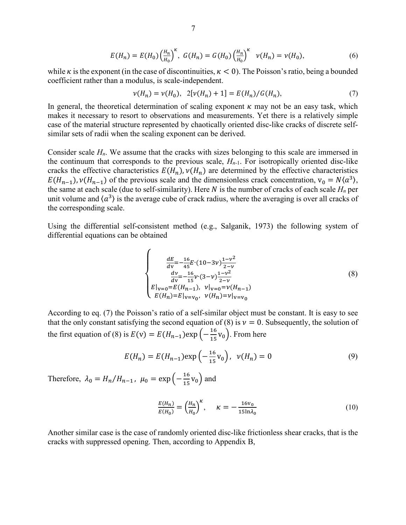$$
E(H_n) = E(H_0) \left(\frac{H_n}{H_0}\right)^{\kappa}, \ G(H_n) = G(H_0) \left(\frac{H_n}{H_0}\right)^{\kappa} \ \nu(H_n) = \nu(H_0), \tag{6}
$$

while  $\kappa$  is the exponent (in the case of discontinuities,  $\kappa < 0$ ). The Poisson's ratio, being a bounded coefficient rather than a modulus, is scale-independent.

$$
\nu(H_n) = \nu(H_0), \ \ 2[\nu(H_n) + 1] = E(H_n)/G(H_n), \tag{7}
$$

In general, the theoretical determination of scaling exponent  $\kappa$  may not be an easy task, which makes it necessary to resort to observations and measurements. Yet there is a relatively simple case of the material structure represented by chaotically oriented disc-like cracks of discrete selfsimilar sets of radii when the scaling exponent can be derived.

Consider scale *Hn*. We assume that the cracks with sizes belonging to this scale are immersed in the continuum that corresponds to the previous scale,  $H_{n-1}$ . For isotropically oriented disc-like cracks the effective characteristics  $E(H_n)$ ,  $v(H_n)$  are determined by the effective characteristics  $E(H_{n-1}), v(H_{n-1})$  of the previous scale and the dimensionless crack concentration,  $v_0 = N\langle a^3 \rangle$ , the same at each scale (due to self-similarity). Here  $N$  is the number of cracks of each scale  $H_n$  per unit volume and  $\langle a^3 \rangle$  is the average cube of crack radius, where the averaging is over all cracks of the corresponding scale.

Using the differential self-consistent method (e.g., Salganik, 1973) the following system of differential equations can be obtained

$$
\begin{cases}\n\frac{dE}{dv} = -\frac{16}{45}E \cdot (10 - 3\nu)\frac{1 - \nu^2}{2 - \nu} \\
\frac{d\nu}{dv} = -\frac{16}{15}\nu \cdot (3 - \nu)\frac{1 - \nu^2}{2 - \nu} \\
E|_{\mathbf{v} = 0} = E(H_{n-1}), \quad \nu|_{\mathbf{v} = 0} = \nu(H_{n-1}) \\
E(H_n) = E|_{\mathbf{v} = \mathbf{v}_0}, \quad \nu(H_n) = \nu|_{\mathbf{v} = \mathbf{v}_0}\n\end{cases} (8)
$$

According to eq. (7) the Poisson's ratio of a self-similar object must be constant. It is easy to see that the only constant satisfying the second equation of (8) is  $v = 0$ . Subsequently, the solution of the first equation of (8) is  $E(v) = E(H_{n-1}) \exp\left(-\frac{16}{15}v_0\right)$ . From here

$$
E(H_n) = E(H_{n-1}) \exp\left(-\frac{16}{15}v_0\right), \ \ v(H_n) = 0 \tag{9}
$$

Therefore,  $\lambda_0 = H_n/H_{n-1}$ ,  $\mu_0 = \exp\left(-\frac{16}{15}v_0\right)$  and

$$
\frac{E(H_n)}{E(H_0)} = \left(\frac{H_n}{H_0}\right)^K, \quad \kappa = -\frac{16v_0}{15\ln\lambda_0} \tag{10}
$$

Another similar case is the case of randomly oriented disc-like frictionless shear cracks, that is the cracks with suppressed opening. Then, according to Appendix B,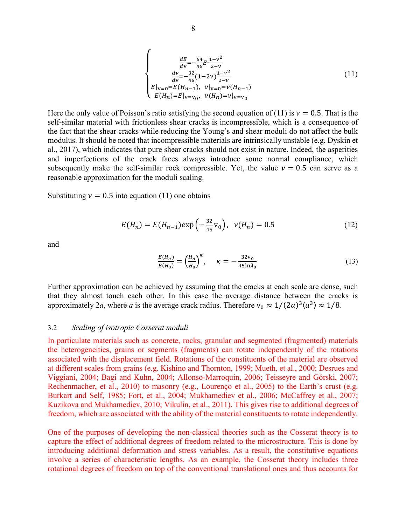$$
\begin{cases}\n\frac{dE}{dv} = -\frac{64}{45}E \cdot \frac{1-v^2}{2-v} \\
\frac{dv}{dv} = -\frac{32}{45}(1-2v)\frac{1-v^2}{2-v} \\
E|_{v=0} = E(H_{n-1}), \quad v|_{v=0} = v(H_{n-1}) \\
E(H_n) = E|_{v=v_0}, \quad v(H_n) = v|_{v=v_0}\n\end{cases}
$$
\n(11)

Here the only value of Poisson's ratio satisfying the second equation of (11) is  $v = 0.5$ . That is the self-similar material with frictionless shear cracks is incompressible, which is a consequence of the fact that the shear cracks while reducing the Young's and shear moduli do not affect the bulk modulus. It should be noted that incompressible materials are intrinsically unstable (e.g. Dyskin et al., 2017), which indicates that pure shear cracks should not exist in nature. Indeed, the asperities and imperfections of the crack faces always introduce some normal compliance, which subsequently make the self-similar rock compressible. Yet, the value  $\nu = 0.5$  can serve as a reasonable approximation for the moduli scaling.

Substituting  $v = 0.5$  into equation (11) one obtains

$$
E(H_n) = E(H_{n-1}) \exp\left(-\frac{32}{45}v_0\right), \ \ v(H_n) = 0.5 \tag{12}
$$

and

$$
\frac{E(H_n)}{E(H_0)} = \left(\frac{H_n}{H_0}\right)^{\kappa}, \quad \kappa = -\frac{32v_0}{45 \ln \lambda_0}
$$
\n(13)

Further approximation can be achieved by assuming that the cracks at each scale are dense, such that they almost touch each other. In this case the average distance between the cracks is approximately 2*a*, where *a* is the average crack radius. Therefore  $v_0 \approx 1/(2a)^3 \langle a^3 \rangle \approx 1/8$ .

## 3.2 *Scaling of isotropic Cosserat moduli*

In particulate materials such as concrete, rocks, granular and segmented (fragmented) materials the heterogeneities, grains or segments (fragments) can rotate independently of the rotations associated with the displacement field. Rotations of the constituents of the material are observed at different scales from grains (e.g. Kishino and Thornton, 1999; Mueth, et al., 2000; Desrues and Viggiani, 2004; Bagi and Kuhn, 2004; Allonso-Marroquin, 2006; Teisseyre and Górski, 2007; Rechenmacher, et al., 2010) to masonry (e.g., Lourenço et al., 2005) to the Earth's crust (e.g. Burkart and Self, 1985; Fort, et al., 2004; Mukhamediev et al., 2006; McCaffrey et al., 2007; Kuzikova and Mukhamediev, 2010; Vikulin, et al., 2011). This gives rise to additional degrees of freedom, which are associated with the ability of the material constituents to rotate independently.

One of the purposes of developing the non-classical theories such as the Cosserat theory is to capture the effect of additional degrees of freedom related to the microstructure. This is done by introducing additional deformation and stress variables. As a result, the constitutive equations involve a series of characteristic lengths. As an example, the Cosserat theory includes three rotational degrees of freedom on top of the conventional translational ones and thus accounts for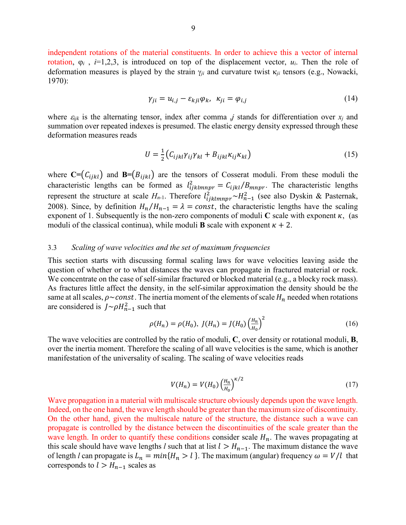independent rotations of the material constituents. In order to achieve this a vector of internal rotation,  $φ<sub>i</sub>$ ,  $i=1,2,3$ , is introduced on top of the displacement vector,  $u<sub>i</sub>$ . Then the role of deformation measures is played by the strain γ*ji* and curvature twist κ*ji* tensors (e.g., Nowacki, 1970):

$$
\gamma_{ji} = u_{i,j} - \varepsilon_{kji} \varphi_k, \ \kappa_{ji} = \varphi_{i,j} \tag{14}
$$

where <sup>ε</sup>*ijk* is the alternating tensor, index after comma ,*j* stands for differentiation over *xj* and summation over repeated indexes is presumed. The elastic energy density expressed through these deformation measures reads

$$
U = \frac{1}{2} \left( C_{ijkl} \gamma_{ij} \gamma_{kl} + B_{ijkl} \kappa_{ij} \kappa_{kl} \right) \tag{15}
$$

where  $\mathbf{C} = (C_{ijkl})$  and  $\mathbf{B} = (B_{ijkl})$  are the tensors of Cosserat moduli. From these moduli the characteristic lengths can be formed as  $l_{ijklmnpr}^2 = C_{ijkl}/B_{mnpr}$ . The characteristic lengths represent the structure at scale  $H_{n-1}$ . Therefore  $l_{ijklmnpr}^2 \sim H_{n-1}^2$  (see also Dyskin & Pasternak, 2008). Since, by definition  $H_n/H_{n-1} = \lambda = const$ , the characteristic lengths have the scaling exponent of 1. Subsequently is the non-zero components of moduli  $C$  scale with exponent  $\kappa$ , (as moduli of the classical continua), while moduli **B** scale with exponent  $\kappa + 2$ .

#### 3.3 *Scaling of wave velocities and the set of maximum frequencies*

This section starts with discussing formal scaling laws for wave velocities leaving aside the question of whether or to what distances the waves can propagate in fractured material or rock. We concentrate on the case of self-similar fractured or blocked material (e.g., a blocky rock mass). As fractures little affect the density, in the self-similar approximation the density should be the same at all scales,  $\rho \sim const.$  The inertia moment of the elements of scale  $H_n$  needed when rotations are considered is  $J \sim \rho H_{n-1}^2$  such that

$$
\rho(H_n) = \rho(H_0), \ J(H_n) = J(H_0) \left(\frac{H_n}{H_0}\right)^2 \tag{16}
$$

The wave velocities are controlled by the ratio of moduli, **C**, over density or rotational moduli, **B**, over the inertia moment. Therefore the scaling of all wave velocities is the same, which is another manifestation of the universality of scaling. The scaling of wave velocities reads

$$
V(H_n) = V(H_0) \left(\frac{H_n}{H_0}\right)^{K/2} \tag{17}
$$

Wave propagation in a material with multiscale structure obviously depends upon the wave length. Indeed, on the one hand, the wave length should be greater than the maximum size of discontinuity. On the other hand, given the multiscale nature of the structure, the distance such a wave can propagate is controlled by the distance between the discontinuities of the scale greater than the wave length. In order to quantify these conditions consider scale  $H_n$ . The waves propagating at this scale should have wave lengths *l* such that at list  $l > H_{n-1}$ . The maximum distance the wave of length *l* can propagate is  $L_n = min\{H_n > l\}$ . The maximum (angular) frequency  $\omega = V/l$  that corresponds to  $l > H_{n-1}$  scales as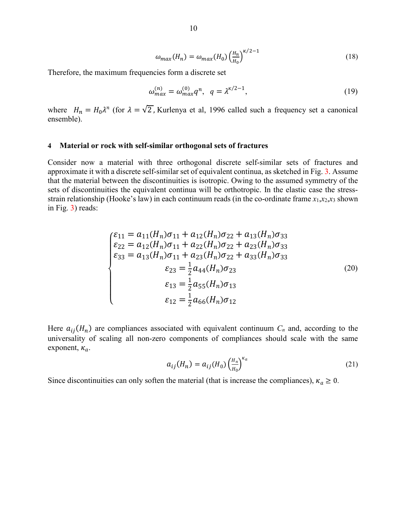$$
\omega_{max}(H_n) = \omega_{max}(H_0) \left(\frac{H_n}{H_0}\right)^{\kappa/2 - 1} \tag{18}
$$

Therefore, the maximum frequencies form a discrete set

$$
\omega_{max}^{(n)} = \omega_{max}^{(0)} q^n, \ \ q = \lambda^{\kappa/2 - 1},\tag{19}
$$

where  $H_n = H_0 \lambda^n$  (for  $\lambda = \sqrt{2}$ , Kurlenya et al, 1996 called such a frequency set a canonical ensemble).

#### **4 Material or rock with self-similar orthogonal sets of fractures**

Consider now a material with three orthogonal discrete self-similar sets of fractures and approximate it with a discrete self-similar set of equivalent continua, as sketched in Fig. 3. Assume that the material between the discontinuities is isotropic. Owing to the assumed symmetry of the sets of discontinuities the equivalent continua will be orthotropic. In the elastic case the stressstrain relationship (Hooke's law) in each continuum reads (in the co-ordinate frame *x*1,*x*2,*x*<sup>3</sup> shown in Fig. 3) reads:

$$
\begin{cases}\n\varepsilon_{11} = a_{11}(H_n)\sigma_{11} + a_{12}(H_n)\sigma_{22} + a_{13}(H_n)\sigma_{33} \\
\varepsilon_{22} = a_{12}(H_n)\sigma_{11} + a_{22}(H_n)\sigma_{22} + a_{23}(H_n)\sigma_{33} \\
\varepsilon_{33} = a_{13}(H_n)\sigma_{11} + a_{23}(H_n)\sigma_{22} + a_{33}(H_n)\sigma_{33} \\
\varepsilon_{23} = \frac{1}{2}a_{44}(H_n)\sigma_{23} \\
\varepsilon_{13} = \frac{1}{2}a_{55}(H_n)\sigma_{13} \\
\varepsilon_{12} = \frac{1}{2}a_{66}(H_n)\sigma_{12}\n\end{cases}
$$
\n(20)

Here  $a_{ij}(H_n)$  are compliances associated with equivalent continuum  $C_n$  and, according to the universality of scaling all non-zero components of compliances should scale with the same exponent,  $\kappa_a$ .

$$
a_{ij}(H_n) = a_{ij}(H_0) \left(\frac{H_n}{H_0}\right)^{K_a}
$$
 (21)

Since discontinuities can only soften the material (that is increase the compliances),  $\kappa_a \ge 0$ .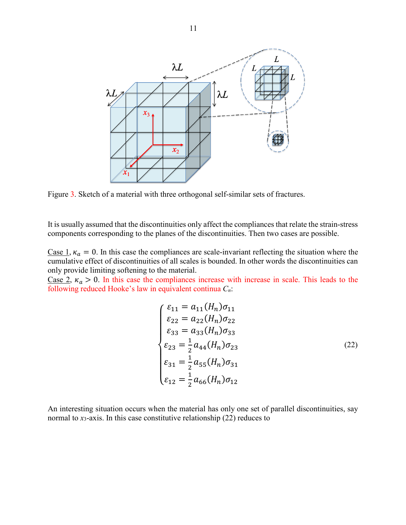

Figure 3. Sketch of a material with three orthogonal self-similar sets of fractures.

It is usually assumed that the discontinuities only affect the compliances that relate the strain-stress components corresponding to the planes of the discontinuities. Then two cases are possible.

Case 1,  $\kappa_a = 0$ . In this case the compliances are scale-invariant reflecting the situation where the cumulative effect of discontinuities of all scales is bounded. In other words the discontinuities can only provide limiting softening to the material.

Case 2,  $\kappa_a > 0$ . In this case the compliances increase with increase in scale. This leads to the following reduced Hooke's law in equivalent continua *Cn*:

$$
\begin{cases}\n\varepsilon_{11} = a_{11}(H_n)\sigma_{11} \\
\varepsilon_{22} = a_{22}(H_n)\sigma_{22} \\
\varepsilon_{33} = a_{33}(H_n)\sigma_{33} \\
\varepsilon_{23} = \frac{1}{2}a_{44}(H_n)\sigma_{23} \\
\varepsilon_{31} = \frac{1}{2}a_{55}(H_n)\sigma_{31} \\
\varepsilon_{12} = \frac{1}{2}a_{66}(H_n)\sigma_{12}\n\end{cases}
$$
\n(22)

An interesting situation occurs when the material has only one set of parallel discontinuities, say normal to  $x_3$ -axis. In this case constitutive relationship (22) reduces to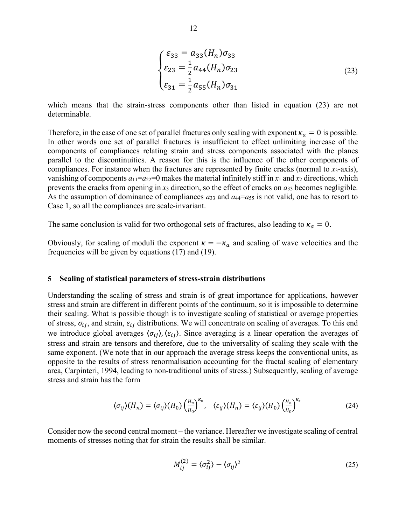$$
\begin{cases}\n\varepsilon_{33} = a_{33}(H_n)\sigma_{33} \\
\varepsilon_{23} = \frac{1}{2}a_{44}(H_n)\sigma_{23} \\
\varepsilon_{31} = \frac{1}{2}a_{55}(H_n)\sigma_{31}\n\end{cases}
$$
\n(23)

which means that the strain-stress components other than listed in equation (23) are not determinable.

Therefore, in the case of one set of parallel fractures only scaling with exponent  $\kappa_a = 0$  is possible. In other words one set of parallel fractures is insufficient to effect unlimiting increase of the components of compliances relating strain and stress components associated with the planes parallel to the discontinuities. A reason for this is the influence of the other components of compliances. For instance when the fractures are represented by finite cracks (normal to  $x_3$ -axis), vanishing of components  $a_{11}=a_{22}=0$  makes the material infinitely stiff in  $x_1$  and  $x_2$  directions, which prevents the cracks from opening in  $x_3$  direction, so the effect of cracks on  $a_{33}$  becomes negligible. As the assumption of dominance of compliances  $a_{33}$  and  $a_{44}=a_{55}$  is not valid, one has to resort to Case 1, so all the compliances are scale-invariant.

The same conclusion is valid for two orthogonal sets of fractures, also leading to  $\kappa_a = 0$ .

Obviously, for scaling of moduli the exponent  $\kappa = -\kappa_a$  and scaling of wave velocities and the frequencies will be given by equations (17) and (19).

## **5 Scaling of statistical parameters of stress-strain distributions**

Understanding the scaling of stress and strain is of great importance for applications, however stress and strain are different in different points of the continuum, so it is impossible to determine their scaling. What is possible though is to investigate scaling of statistical or average properties of stress,  $\sigma_{ij}$ , and strain,  $\varepsilon_{ij}$  distributions. We will concentrate on scaling of averages. To this end we introduce global averages  $\langle \sigma_{ij} \rangle$ ,  $\langle \varepsilon_{ij} \rangle$ . Since averaging is a linear operation the averages of stress and strain are tensors and therefore, due to the universality of scaling they scale with the same exponent. (We note that in our approach the average stress keeps the conventional units, as opposite to the results of stress renormalisation accounting for the fractal scaling of elementary area, Carpinteri, 1994, leading to non-traditional units of stress.) Subsequently, scaling of average stress and strain has the form

$$
\langle \sigma_{ij} \rangle (H_n) = \langle \sigma_{ij} \rangle (H_0) \left( \frac{H_n}{H_0} \right)^{\kappa_{\sigma}}, \quad \langle \varepsilon_{ij} \rangle (H_n) = \langle \varepsilon_{ij} \rangle (H_0) \left( \frac{H_n}{H_0} \right)^{\kappa_{\varepsilon}}
$$
(24)

Consider now the second central moment – the variance. Hereafter we investigate scaling of central moments of stresses noting that for strain the results shall be similar.

$$
M_{ij}^{(2)} = \langle \sigma_{ij}^2 \rangle - \langle \sigma_{ij} \rangle^2 \tag{25}
$$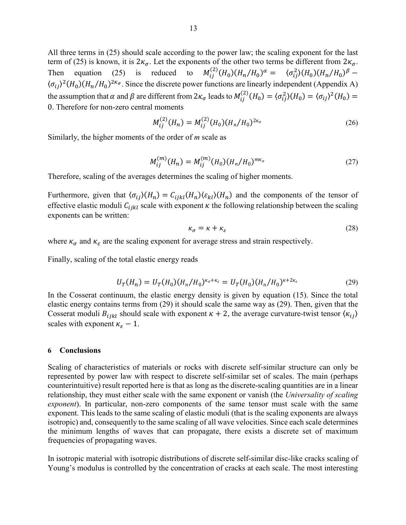All three terms in (25) should scale according to the power law; the scaling exponent for the last term of (25) is known, it is  $2\kappa_{\sigma}$ . Let the exponents of the other two terms be different from  $2\kappa_{\sigma}$ . Then equation (25) is reduced to  $M_{ij}^{(2)}(H_0)(H_n/H_0)^{\alpha} = (\sigma_{ij}^2)(H_0)(H_n/H_0)^{\beta}$  $\langle \sigma_{ij} \rangle^2 (H_0)(H_n/H_0)^{2\kappa_\sigma}$ . Since the discrete power functions are linearly independent (Appendix A) the assumption that  $\alpha$  and  $\beta$  are different from  $2\kappa_{\sigma}$  leads to  $M_{ij}^{(2)}(H_0) = \langle \sigma_{ij}^2 \rangle(H_0) = \langle \sigma_{ij} \rangle^2(H_0) =$ 0. Therefore for non-zero central moments

$$
M_{ij}^{(2)}(H_n) = M_{ij}^{(2)}(H_0)(H_n/H_0)^{2\kappa_\sigma}
$$
 (26)

Similarly, the higher moments of the order of *m* scale as

$$
M_{ij}^{(m)}(H_n) = M_{ij}^{(m)}(H_0)(H_n/H_0)^{m\kappa_\sigma}
$$
 (27)

Therefore, scaling of the averages determines the scaling of higher moments.

Furthermore, given that  $\langle \sigma_{ij} \rangle (H_n) = C_{ijkl} (H_n) \langle \varepsilon_{kl} \rangle (H_n)$  and the components of the tensor of effective elastic moduli  $C_{ijkl}$  scale with exponent  $\kappa$  the following relationship between the scaling exponents can be written:

$$
\kappa_{\sigma} = \kappa + \kappa_{\varepsilon} \tag{28}
$$

where  $\kappa_{\sigma}$  and  $\kappa_{\varepsilon}$  are the scaling exponent for average stress and strain respectively.

Finally, scaling of the total elastic energy reads

$$
U_T(H_n) = U_T(H_0)(H_n/H_0)^{\kappa_\sigma + \kappa_\varepsilon} = U_T(H_0)(H_n/H_0)^{\kappa + 2\kappa_\varepsilon}
$$
\n(29)

In the Cosserat continuum, the elastic energy density is given by equation (15). Since the total elastic energy contains terms from (29) it should scale the same way as (29). Then, given that the Cosserat moduli  $B_{ijkl}$  should scale with exponent  $\kappa + 2$ , the average curvature-twist tensor  $\langle \kappa_{ij} \rangle$ scales with exponent  $\kappa_{\varepsilon} - 1$ .

## **6 Conclusions**

Scaling of characteristics of materials or rocks with discrete self-similar structure can only be represented by power law with respect to discrete self-similar set of scales. The main (perhaps counterintuitive) result reported here is that as long as the discrete-scaling quantities are in a linear relationship, they must either scale with the same exponent or vanish (the *Universality of scaling exponent*). In particular, non-zero components of the same tensor must scale with the same exponent. This leads to the same scaling of elastic moduli (that is the scaling exponents are always isotropic) and, consequently to the same scaling of all wave velocities. Since each scale determines the minimum lengths of waves that can propagate, there exists a discrete set of maximum frequencies of propagating waves.

In isotropic material with isotropic distributions of discrete self-similar disc-like cracks scaling of Young's modulus is controlled by the concentration of cracks at each scale. The most interesting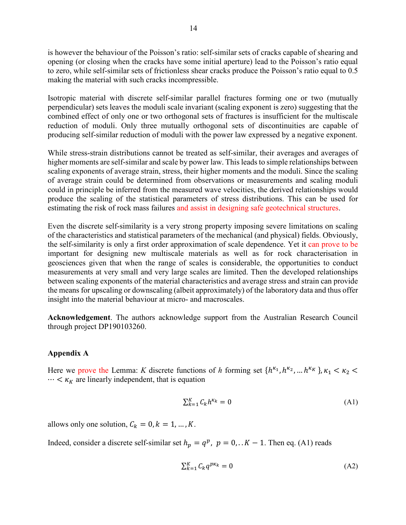is however the behaviour of the Poisson's ratio: self-similar sets of cracks capable of shearing and opening (or closing when the cracks have some initial aperture) lead to the Poisson's ratio equal to zero, while self-similar sets of frictionless shear cracks produce the Poisson's ratio equal to 0.5 making the material with such cracks incompressible.

Isotropic material with discrete self-similar parallel fractures forming one or two (mutually perpendicular) sets leaves the moduli scale invariant (scaling exponent is zero) suggesting that the combined effect of only one or two orthogonal sets of fractures is insufficient for the multiscale reduction of moduli. Only three mutually orthogonal sets of discontinuities are capable of producing self-similar reduction of moduli with the power law expressed by a negative exponent.

While stress-strain distributions cannot be treated as self-similar, their averages and averages of higher moments are self-similar and scale by power law. This leads to simple relationships between scaling exponents of average strain, stress, their higher moments and the moduli. Since the scaling of average strain could be determined from observations or measurements and scaling moduli could in principle be inferred from the measured wave velocities, the derived relationships would produce the scaling of the statistical parameters of stress distributions. This can be used for estimating the risk of rock mass failures and assist in designing safe geotechnical structures.

Even the discrete self-similarity is a very strong property imposing severe limitations on scaling of the characteristics and statistical parameters of the mechanical (and physical) fields. Obviously, the self-similarity is only a first order approximation of scale dependence. Yet it can prove to be important for designing new multiscale materials as well as for rock characterisation in geosciences given that when the range of scales is considerable, the opportunities to conduct measurements at very small and very large scales are limited. Then the developed relationships between scaling exponents of the material characteristics and average stress and strain can provide the means for upscaling or downscaling (albeit approximately) of the laboratory data and thus offer insight into the material behaviour at micro- and macroscales.

**Acknowledgement**. The authors acknowledge support from the Australian Research Council through project DP190103260.

# **Appendix A**

Here we prove the Lemma: *K* discrete functions of *h* forming set  $\{h^{\kappa_1}, h^{\kappa_2}, \dots h^{\kappa_K}\}, \kappa_1 < \kappa_2$  $\cdots < \kappa_K$  are linearly independent, that is equation

$$
\sum_{k=1}^{K} C_k h^{\kappa_k} = 0 \tag{A1}
$$

allows only one solution,  $C_k = 0, k = 1, ..., K$ .

Indeed, consider a discrete self-similar set  $h_p = q^p$ ,  $p = 0,..K - 1$ . Then eq. (A1) reads

$$
\sum_{k=1}^{K} C_k q^{p\kappa_k} = 0 \tag{A2}
$$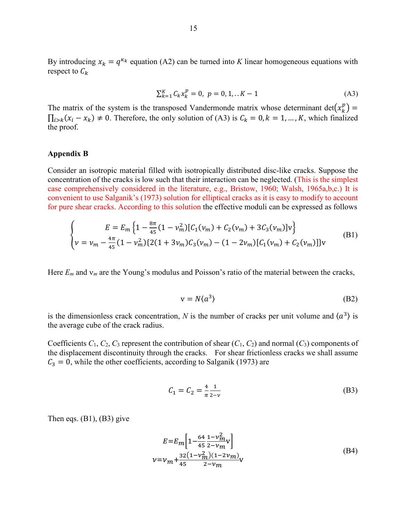By introducing  $x_k = q^{\kappa_k}$  equation (A2) can be turned into *K* linear homogeneous equations with respect to  $C_k$ 

$$
\sum_{k=1}^{K} C_k x_k^p = 0, \ p = 0, 1, \dots K - 1
$$
 (A3)

The matrix of the system is the transposed Vandermonde matrix whose determinant det $(x_k^p)$  =  $\prod_{i>k}(x_i - x_k) \neq 0$ . Therefore, the only solution of (A3) is  $C_k = 0, k = 1, ..., K$ , which finalized the proof.

## **Appendix B**

Consider an isotropic material filled with isotropically distributed disc-like cracks. Suppose the concentration of the cracks is low such that their interaction can be neglected. (This is the simplest case comprehensively considered in the literature, e.g., Bristow, 1960; Walsh, 1965a,b,c.) It is convenient to use Salganik's (1973) solution for elliptical cracks as it is easy to modify to account for pure shear cracks. According to this solution the effective moduli can be expressed as follows

$$
\begin{cases}\nE = E_m \left\{ 1 - \frac{8\pi}{45} (1 - v_m^2) [C_1(v_m) + C_2(v_m) + 3C_3(v_m)]v \right\} \\
v = v_m - \frac{4\pi}{45} (1 - v_m^2) \left\{ 2(1 + 3v_m) C_3(v_m) - (1 - 2v_m) [C_1(v_m) + C_2(v_m)] \right\} v\n\end{cases}
$$
\n(B1)

Here  $E_m$  and  $v_m$  are the Young's modulus and Poisson's ratio of the material between the cracks,

$$
v = N\langle a^3 \rangle \tag{B2}
$$

is the dimensionless crack concentration, *N* is the number of cracks per unit volume and  $\langle a^3 \rangle$  is the average cube of the crack radius.

Coefficients  $C_1$ ,  $C_2$ ,  $C_3$  represent the contribution of shear  $(C_1, C_2)$  and normal  $(C_3)$  components of the displacement discontinuity through the cracks. For shear frictionless cracks we shall assume  $C_3 = 0$ , while the other coefficients, according to Salganik (1973) are

$$
C_1 = C_2 = \frac{4}{\pi} \frac{1}{2 - \nu} \tag{B3}
$$

Then eqs.  $(B1)$ ,  $(B3)$  give

$$
E = E_m \left[ 1 - \frac{64}{45} \frac{1 - v_m^2}{2 - v_m} v \right]
$$
  

$$
v = v_m + \frac{32 (1 - v_m^2)(1 - 2v_m)}{45} v
$$
 (B4)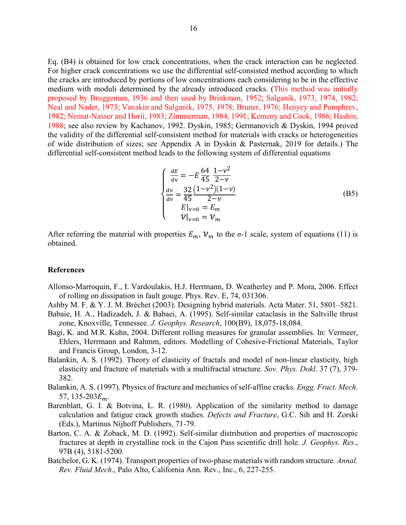Eq. (B4) is obtained for low crack concentrations, when the crack interaction can be neglected. For higher crack concentrations we use the differential self-consisted method according to which the cracks are introduced by portions of low concentrations each considering to be in the effective medium with moduli determined by the already introduced cracks. (This method was initially proposed by Bruggeman, 1936 and then used by Brinkman, 1952; Salganik, 1973, 1974, 1982; Neal and Nader, 1973; Vavakin and Salganik, 1975, 1978; Bruner, 1976; Henyey and Pomphrev, 1982; Nemat-Nasser and Horii, 1983; Zimmerman, 1984, 1991; Kemeny and Cook, 1986; Hashin, 1988; see also review by Kachanov, 1992. Dyskin, 1985; Germanovich & Dyskin, 1994 proved the validity of the differential self-consistent method for materials with cracks or heterogeneities of wide distribution of sizes; see Appendix A in Dyskin & Pasternak, 2019 for details.) The differential self-consistent method leads to the following system of differential equations

$$
\begin{cases}\n\frac{dE}{dv} = -E \frac{64}{45} \frac{1 - v^2}{2 - v} \\
\frac{dv}{dv} = \frac{32}{45} \frac{(1 - v^2)(1 - v)}{2 - v} \\
E|_{v=0} = E_m \\
V|_{v=0} = V_m\n\end{cases}
$$
\n(B5)

After referring the material with properties  $E_m$ ,  $V_m$  to the *n*-1 scale, system of equations (11) is obtained.

## **References**

- Allonso-Marroquin, F., I. Vardoulakis, H.J. Herrmann, D. Weatherley and P. Mora, 2006. Effect of rolling on dissipation in fault gouge. Phys. Rev. E, 74, 031306.
- Ashby M. F. & Y. J. M. Bréchet (2003). Designing hybrid materials. Acta Mater. 51, 5801–5821.
- Babaie, H. A., Hadizadeh, J. & Babaei, A. (1995). Self-similar cataclasis in the Saltville thrust zone, Knoxville, Tennessee. *J. Geophys. Research*, 100(B9), 18,075-18,084.
- Bagi, K. and M.R. Kuhn, 2004. Different rolling measures for granular assemblies. In: Vermeer, Ehlers, Herrmann and Rahmm, editors. Modelling of Cohesive-Frictional Materials, Taylor and Francis Group, London, 3-12.
- Balankin, A. S. (1992). Theory of elasticity of fractals and model of non-linear elasticity, high elasticity and fracture of materials with a multifractal structure. *Sov. Phys. Dokl*. 37 (7), 379- 382.
- Balankin, A. S. (1997). Physics of fracture and mechanics of self-affine cracks. *Engg. Fract. Mech*. 57, 135-203 $E_m$ .
- Barenblatt, G. I. & Botvina, L. R. (1980). Application of the similarity method to damage calculation and fatigue crack growth studies. *Defects and Fracture*, G.C. Sih and H. Zorski (Eds.), Martinus Nijhoff Publishers, 71-79.
- Barton, C. A. & Zoback, M. D. (1992). Self-similar distribution and properties of macroscopic fractures at depth in crystalline rock in the Cajon Pass scientific drill hole. *J. Geophys. Res*., 97B (4), 5181-5200.
- Batchelor, G. K. (1974). Transport properties of two-phase materials with random structure. *Annal. Rev. Fluid Mech*., Palo Alto, California Ann. Rev., Inc., 6, 227-255.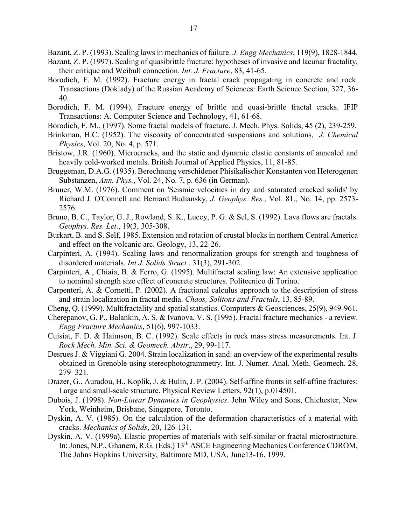Bazant, Z. P. (1993). Scaling laws in mechanics of failure. *J. Engg Mechanics*, 119(9), 1828-1844.

- Bazant, Z. P. (1997). Scaling of quasibrittle fracture: hypotheses of invasive and lacunar fractality, their critique and Weibull connection. *Int. J. Fracture*, 83, 41-65.
- Borodich, F. M. (1992). Fracture energy in fractal crack propagating in concrete and rock. Transactions (Doklady) of the Russian Academy of Sciences: Earth Science Section, 327, 36- 40.
- Borodich, F. M. (1994). Fracture energy of brittle and quasi-brittle fractal cracks. IFIP Transactions: A. Computer Science and Technology, 41, 61-68.
- Borodich, F. M., (1997). Some fractal models of fracture. J. Mech. Phys. Solids, 45 (2), 239-259.
- Brinkman, H.C. (1952). The viscosity of concentrated suspensions and solutions, *J. Chemical Physics*, Vol. 20, No. 4, p. 571.
- Bristow, J.R. (1960). Microcracks, and the static and dynamic elastic constants of annealed and heavily cold-worked metals. British Journal of Applied Physics, 11, 81-85.
- Bruggeman, D.A.G. (1935). Berechnung verschidener Phisikalischer Konstanten von Heterogenen Substanzen, *Ann. Phys.*, Vol. 24, No. 7, p. 636 (in German).
- Bruner, W.M. (1976). Comment on 'Seismic velocities in dry and saturated cracked solids' by Richard J. O'Connell and Bernard Budiansky, *J. Geophys. Res.*, Vol. 81., No. 14, pp. 2573- 2576.
- Bruno, B. C., Taylor, G. J., Rowland, S. K., Lucey, P. G. & Sel, S. (1992). Lava flows are fractals. *Geophys. Res. Let*., 19(3, 305-308.
- Burkart, B. and S. Self, 1985. Extension and rotation of crustal blocks in northern Central America and effect on the volcanic arc. Geology, 13, 22-26.
- Carpinteri, A. (1994). Scaling laws and renormalization groups for strength and toughness of disordered materials. *Int J. Solids Struct.*, 31(3), 291-302.
- Carpinteri, A., Chiaia, B. & Ferro, G. (1995). Multifractal scaling law: An extensive application to nominal strength size effect of concrete structures. Politecnico di Torino.
- Carpenteri, A. & Cornetti, P. (2002). A fractional calculus approach to the description of stress and strain localization in fractal media. *Chaos, Solitons and Fractals*, 13, 85-89.
- Cheng, Q. (1999). Multifractality and spatial statistics. Computers & Geosciences, 25(9), 949-961.
- Cherepanov, G. P., Balankin, A. S. & Ivanova, V. S. (1995). Fractal fracture mechanics a review. *Engg Fracture Mechanics*, 51(6), 997-1033.
- Cuisiat, F. D. & Haimson, B. C. (1992). Scale effects in rock mass stress measurements. Int. J. *Rock Mech. Min. Sci. & Geomech. Abstr*., 29, 99-117.
- Desrues J. & Viggiani G. 2004. Strain localization in sand: an overview of the experimental results obtained in Grenoble using stereophotogrammetry. Int. J. Numer. Anal. Meth. Geomech. 28, 279–321.
- Drazer, G., Auradou, H., Koplik, J. & Hulin, J. P. (2004). Self-affine fronts in self-affine fractures: Large and small-scale structure. Physical Review Letters, 92(1), p.014501.
- Dubois, J. (1998). *Non-Linear Dynamics in Geophysics*. John Wiley and Sons, Chichester, New York, Weinheim, Brisbane, Singapore, Toronto.
- Dyskin, A. V. (1985). On the calculation of the deformation characteristics of a material with cracks. *Mechanics of Solids*, 20, 126-131.
- Dyskin, A. V. (1999a). Elastic properties of materials with self-similar or fractal microstructure. In: Jones, N.P., Ghanem, R.G. (Eds.) 13<sup>th</sup> ASCE Engineering Mechanics Conference CDROM, The Johns Hopkins University, Baltimore MD, USA, June13-16, 1999.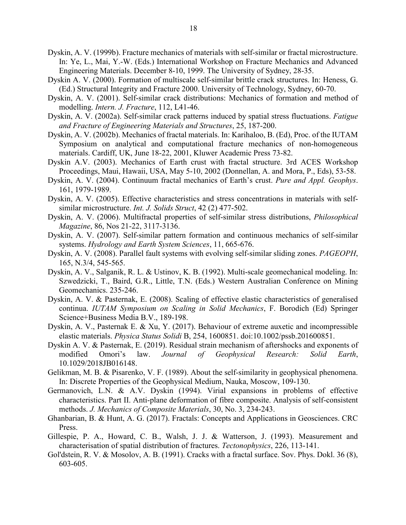- Dyskin, A. V. (1999b). Fracture mechanics of materials with self-similar or fractal microstructure. In: Ye, L., Mai, Y.-W. (Eds.) International Workshop on Fracture Mechanics and Advanced Engineering Materials. December 8-10, 1999. The University of Sydney, 28-35.
- Dyskin A. V. (2000). Formation of multiscale self-similar brittle crack structures. In: Heness, G. (Ed.) Structural Integrity and Fracture 2000. University of Technology, Sydney, 60-70.
- Dyskin, A. V. (2001). Self-similar crack distributions: Mechanics of formation and method of modelling. *Intern. J. Fracture*, 112, L41-46.
- Dyskin, A. V. (2002a). Self-similar crack patterns induced by spatial stress fluctuations. *Fatigue and Fracture of Engineering Materials and Structures*, 25, 187-200.
- Dyskin, A. V. (2002b). Mechanics of fractal materials. In: Karihaloo, B. (Ed), Proc. of the IUTAM Symposium on analytical and computational fracture mechanics of non-homogeneous materials. Cardiff, UK, June 18-22, 2001, Kluwer Academic Press 73-82.
- Dyskin A.V. (2003). Mechanics of Earth crust with fractal structure. 3rd ACES Workshop Proceedings, Maui, Hawaii, USA, May 5-10, 2002 (Donnellan, A. and Mora, P., Eds), 53-58.
- Dyskin, A. V. (2004). Continuum fractal mechanics of Earth's crust. *Pure and Appl. Geophys*. 161, 1979-1989.
- Dyskin, A. V. (2005). Effective characteristics and stress concentrations in materials with selfsimilar microstructure. *Int. J. Solids Struct*, 42 (2) 477-502.
- Dyskin, A. V. (2006). Multifractal properties of self-similar stress distributions, *Philosophical Magazine*, 86, Nos 21-22, 3117-3136.
- Dyskin, A. V. (2007). Self-similar pattern formation and continuous mechanics of self-similar systems. *Hydrology and Earth System Sciences*, 11, 665-676.
- Dyskin, A. V. (2008). Parallel fault systems with evolving self-similar sliding zones. *PAGEOPH*, 165, N.3/4, 545-565.
- Dyskin, A. V., Salganik, R. L. & Ustinov, K. B. (1992). Multi-scale geomechanical modeling. In: Szwedzicki, T., Baird, G.R., Little, T.N. (Eds.) Western Australian Conference on Mining Geomechanics. 235-246.
- Dyskin, A. V. & Pasternak, E. (2008). Scaling of effective elastic characteristics of generalised continua. *IUTAM Symposium on Scaling in Solid Mechanics*, F. Borodich (Ed) Springer Science+Business Media B.V., 189-198.
- Dyskin, A. V., Pasternak E. & Xu, Y. (2017). Behaviour of extreme auxetic and incompressible elastic materials. *Physica Status Solidi* B, 254, 1600851. doi:10.1002/pssb.201600851.
- Dyskin A. V. & Pasternak, E. (2019). Residual strain mechanism of aftershocks and exponents of modified Omori's law. *Journal of Geophysical Research: Solid Earth*, 10.1029/2018JB016148.
- Gelikman, M. B. & Pisarenko, V. F. (1989). About the self-similarity in geophysical phenomena. In: Discrete Properties of the Geophysical Medium, Nauka, Moscow, 109-130.
- Germanovich, L.N. & A.V. Dyskin (1994). Virial expansions in problems of effective characteristics. Part II. Anti-plane deformation of fibre composite. Analysis of self-consistent methods. *J. Mechanics of Composite Materials*, 30, No. 3, 234-243.
- Ghanbarian, B. & Hunt, A. G. (2017). Fractals: Concepts and Applications in Geosciences. CRC Press.
- Gillespie, P. A., Howard, C. B., Walsh, J. J. & Watterson, J. (1993). Measurement and characterisation of spatial distribution of fractures. *Tectonophysics*, 226, 113-141.
- Gol'dstein, R. V. & Mosolov, A. B. (1991). Cracks with a fractal surface. Sov. Phys. Dokl. 36 (8), 603-605.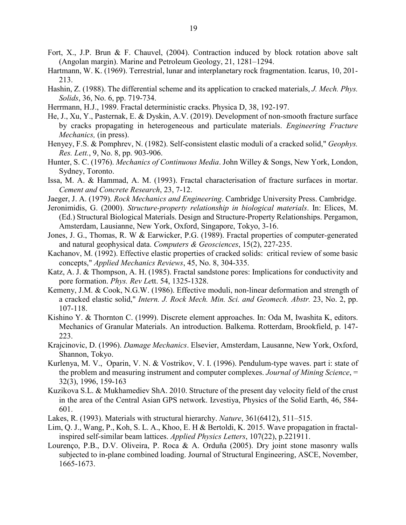- Fort, X., J.P. Brun & F. Chauvel, (2004). Contraction induced by block rotation above salt (Angolan margin). Marine and Petroleum Geology, 21, 1281–1294.
- Hartmann, W. K. (1969). Terrestrial, lunar and interplanetary rock fragmentation. Icarus, 10, 201- 213.
- Hashin, Z. (1988). The differential scheme and its application to cracked materials, *J. Mech. Phys. Solids*, 36, No. 6, pp. 719-734.
- Herrmann, H.J., 1989. Fractal deterministic cracks. Physica D, 38, 192-197.
- He, J., Xu, Y., Pasternak, E. & Dyskin, A.V. (2019). Development of non-smooth fracture surface by cracks propagating in heterogeneous and particulate materials. *Engineering Fracture Mechanics,* (in press).
- Henyey, F.S. & Pomphrev, N. (1982). Self-consistent elastic moduli of a cracked solid," *Geophys. Res. Lett.*, 9, No. 8, pp. 903-906.
- Hunter, S. C. (1976). *Mechanics of Continuous Media*. John Willey & Songs, New York, London, Sydney, Toronto.
- Issa, M. A. & Hammad, A. M. (1993). Fractal characterisation of fracture surfaces in mortar. *Cement and Concrete Research*, 23, 7-12.
- Jaeger, J. A. (1979). *Rock Mechanics and Engineering*. Cambridge University Press. Cambridge.
- Jeronimidis, G. (2000). *Structure-property relationship in biological materials*. In: Elices, M. (Ed.) Structural Biological Materials. Design and Structure-Property Relationships. Pergamon, Amsterdam, Lausianne, New York, Oxford, Singapore, Tokyo, 3-16.
- Jones, J. G., Thomas, R. W & Earwicker, P.G. (1989). Fractal properties of computer-generated and natural geophysical data. *Computers & Geosciences*, 15(2), 227-235.
- Kachanov, M. (1992). Effective elastic properties of cracked solids: critical review of some basic concepts," *Applied Mechanics Reviews*, 45, No. 8, 304-335.
- Katz, A. J. & Thompson, A. H. (1985). Fractal sandstone pores: Implications for conductivity and pore formation. *Phys. Rev Le*tt. 54, 1325-1328.
- Kemeny, J.M. & Cook, N.G.W. (1986). Effective moduli, non-linear deformation and strength of a cracked elastic solid," *Intern. J. Rock Mech. Min. Sci. and Geomech. Abstr.* 23, No. 2, pp. 107-118.
- Kishino Y. & Thornton C. (1999). Discrete element approaches. In: Oda M, Iwashita K, editors. Mechanics of Granular Materials. An introduction. Balkema. Rotterdam, Brookfield, p. 147- 223.
- Krajcinovic, D. (1996). *Damage Mechanics*. Elsevier, Amsterdam, Lausanne, New York, Oxford, Shannon, Tokyo.
- Kurlenya, M. V., Oparin, V. N. & Vostrikov, V. I. (1996). Pendulum-type waves. part i: state of the problem and measuring instrument and computer complexes. *Journal of Mining Science*, = 32(3), 1996, 159-163
- Kuzikova S.L. & Mukhamediev ShA. 2010. Structure of the present day velocity field of the crust in the area of the Central Asian GPS network. Izvestiya, Physics of the Solid Earth, 46, 584- 601.
- Lakes, R. (1993). Materials with structural hierarchy. *Nature*, 361(6412), 511–515.
- Lim, Q. J., Wang, P., Koh, S. L. A., Khoo, E. H & Bertoldi, K. 2015. Wave propagation in fractalinspired self-similar beam lattices. *Applied Physics Letters*, 107(22), p.221911.
- Lourenço, P.B., D.V. Oliveira, P. Roca & A. Orduña (2005). Dry joint stone masonry walls subjected to in-plane combined loading. Journal of Structural Engineering, ASCE, November, 1665-1673.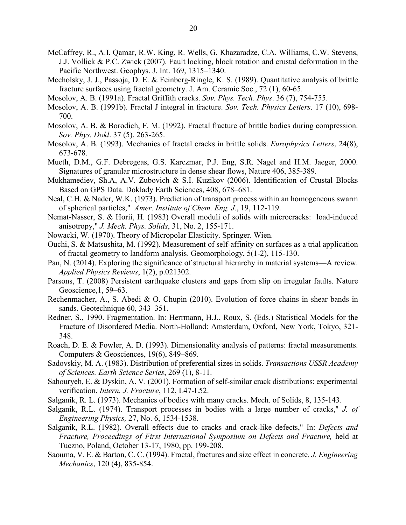- McCaffrey, R., A.I. Qamar, R.W. King, R. Wells, G. Khazaradze, C.A. Williams, C.W. Stevens, J.J. Vollick & P.C. Zwick (2007). Fault locking, block rotation and crustal deformation in the Pacific Northwest. Geophys. J. Int. 169, 1315–1340.
- Mecholsky, J. J., Passoja, D. E. & Feinberg-Ringle, K. S. (1989). Quantitative analysis of brittle fracture surfaces using fractal geometry. J. Am. Ceramic Soc., 72 (1), 60-65.
- Mosolov, A. B. (1991a). Fractal Griffith cracks. *Sov. Phys. Tech. Phys*. 36 (7), 754-755.
- Mosolov, A. B. (1991b). Fractal J integral in fracture. *Sov. Tech. Physics Letters*. 17 (10), 698- 700.
- Mosolov, A. B. & Borodich, F. M. (1992). Fractal fracture of brittle bodies during compression. *Sov. Phys. Dokl*. 37 (5), 263-265.
- Mosolov, A. B. (1993). Mechanics of fractal cracks in brittle solids. *Europhysics Letters*, 24(8), 673-678.
- Mueth, D.M., G.F. Debregeas, G.S. Karczmar, P.J. Eng, S.R. Nagel and H.M. Jaeger, 2000. Signatures of granular microstructure in dense shear flows, Nature 406, 385-389.
- Mukhamediev, Sh.A, A.V. Zubovich & S.I. Kuzikov (2006). Identification of Crustal Blocks Based on GPS Data. Doklady Earth Sciences, 408, 678–681.
- Neal, C.H. & Nader, W.K. (1973). Prediction of transport process within an homogeneous swarm of spherical particles," *Amer. Institute of Chem. Eng. J.*, 19, 112-119.
- Nemat-Nasser, S. & Horii, H. (1983) Overall moduli of solids with microcracks: load-induced anisotropy," *J. Mech. Phys. Solids*, 31, No. 2, 155-171.
- Nowacki, W. (1970). Theory of Micropolar Elasticity. Springer. Wien.
- Ouchi, S. & Matsushita, M. (1992). Measurement of self-affinity on surfaces as a trial application of fractal geometry to landform analysis. Geomorphology, 5(1-2), 115-130.
- Pan, N. (2014). Exploring the significance of structural hierarchy in material systems—A review. *Applied Physics Reviews*, 1(2), p.021302.
- Parsons, T. (2008) Persistent earthquake clusters and gaps from slip on irregular faults. Nature Geoscience,1, 59–63.
- Rechenmacher, A., S. Abedi & O. Chupin (2010). Evolution of force chains in shear bands in sands. Geotechnique 60, 343–351.
- Redner, S., 1990. Fragmentation. In: Herrmann, H.J., Roux, S. (Eds.) Statistical Models for the Fracture of Disordered Media. North-Holland: Amsterdam, Oxford, New York, Tokyo, 321- 348.
- Roach, D. E. & Fowler, A. D. (1993). Dimensionality analysis of patterns: fractal measurements. Computers & Geosciences, 19(6), 849–869.
- Sadovskiy, M. A. (1983). Distribution of preferential sizes in solids. *Transactions USSR Academy of Sciences. Earth Science Series*, 269 (1), 8-11.
- Sahouryeh, E. & Dyskin, A. V. (2001). Formation of self-similar crack distributions: experimental verification. *Intern. J. Fracture*, 112, L47-L52.
- Salganik, R. L. (1973). Mechanics of bodies with many cracks. Mech. of Solids, 8, 135-143.
- Salganik, R.L. (1974). Transport processes in bodies with a large number of cracks," *J. of Engineering Physics,* 27, No. 6, 1534-1538.
- Salganik, R.L. (1982). Overall effects due to cracks and crack-like defects," In: *Defects and Fracture, Proceedings of First International Symposium on Defects and Fracture,* held at Tuczno, Poland, October 13-17, 1980, pp. 199-208.
- Saouma, V. E. & Barton, C. C. (1994). Fractal, fractures and size effect in concrete. *J. Engineering Mechanics*, 120 (4), 835-854.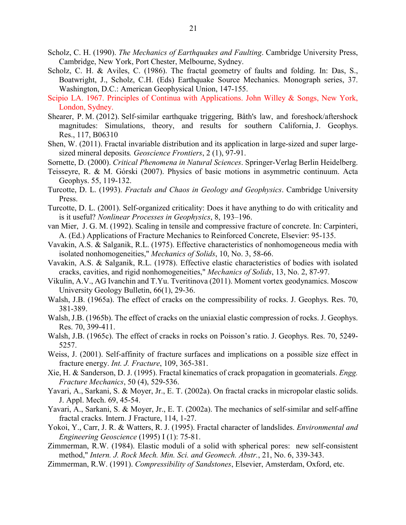- Scholz, C. H. (1990). *The Mechanics of Earthquakes and Faulting*. Cambridge University Press, Cambridge, New York, Port Chester, Melbourne, Sydney.
- Scholz, C. H. & Aviles, C. (1986). The fractal geometry of faults and folding. In: Das, S., Boatwright, J., Scholz, C.H. (Eds) Earthquake Source Mechanics. Monograph series, 37. Washington, D.C.: American Geophysical Union, 147-155.
- Scipio LA. 1967. Principles of Continua with Applications. John Willey & Songs, New York, London, Sydney.
- Shearer, P. M. (2012). Self‐similar earthquake triggering, Båth's law, and foreshock/aftershock magnitudes: Simulations, theory, and results for southern California, J. Geophys. Res., 117, B06310
- Shen, W. (2011). Fractal invariable distribution and its application in large-sized and super largesized mineral deposits*. Geoscience Frontiers*, 2 (1), 97-91.
- Sornette, D. (2000). *Critical Phenomena in Natural Sciences*. Springer-Verlag Berlin Heidelberg.
- Teisseyre, R. & M. Górski (2007). Physics of basic motions in asymmetric continuum. Acta Geophys. 55, 119-132.
- Turcotte, D. L. (1993). *Fractals and Chaos in Geology and Geophysics*. Cambridge University Press.
- Turcotte, D. L. (2001). Self-organized criticality: Does it have anything to do with criticality and is it useful? *Nonlinear Processes in Geophysics*, 8, 193–196.
- van Mier, J. G. M. (1992). Scaling in tensile and compressive fracture of concrete. In: Carpinteri, A. (Ed.) Applications of Fracture Mechanics to Reinforced Concrete, Elsevier: 95-135.
- Vavakin, A.S. & Salganik, R.L. (1975). Effective characteristics of nonhomogeneous media with isolated nonhomogeneities," *Mechanics of Solids*, 10, No. 3, 58-66.
- Vavakin, A.S. & Salganik, R.L. (1978). Effective elastic characteristics of bodies with isolated cracks, cavities, and rigid nonhomogeneities," *Mechanics of Solids*, 13, No. 2, 87-97.
- Vikulin, A.V., AG Ivanchin and T.Yu. Tveritinova (2011). Moment vortex geodynamics. Moscow University Geology Bulletin, 66(1), 29-36.
- Walsh, J.B. (1965a). The effect of cracks on the compressibility of rocks. J. Geophys. Res. 70, 381-389.
- Walsh, J.B. (1965b). The effect of cracks on the uniaxial elastic compression of rocks. J. Geophys. Res. 70, 399-411.
- Walsh, J.B. (1965c). The effect of cracks in rocks on Poisson's ratio. J. Geophys. Res. 70, 5249- 5257.
- Weiss, J. (2001). Self-affinity of fracture surfaces and implications on a possible size effect in fracture energy. *Int. J. Fracture*, 109, 365-381.
- Xie, H. & Sanderson, D. J. (1995). Fractal kinematics of crack propagation in geomaterials. *Engg. Fracture Mechanics*, 50 (4), 529-536.
- Yavari, A., Sarkani, S. & Moyer, Jr., E. T. (2002a). On fractal cracks in micropolar elastic solids. J. Appl. Mech. 69, 45-54.
- Yavari, A., Sarkani, S. & Moyer, Jr., E. T. (2002a). The mechanics of self-similar and self-affine fractal cracks. Intern. J Fracture, 114, 1-27.
- Yokoi, Y., Carr, J. R. & Watters, R. J. (1995). Fractal character of landslides. *Environmental and Engineering Geoscience* (1995) I (1): 75-81.
- Zimmerman, R.W. (1984). Elastic moduli of a solid with spherical pores: new self-consistent method," *Intern. J. Rock Mech. Min. Sci. and Geomech. Abstr.*, 21, No. 6, 339-343.
- Zimmerman, R.W. (1991). *Compressibility of Sandstones*, Elsevier, Amsterdam, Oxford, etc.